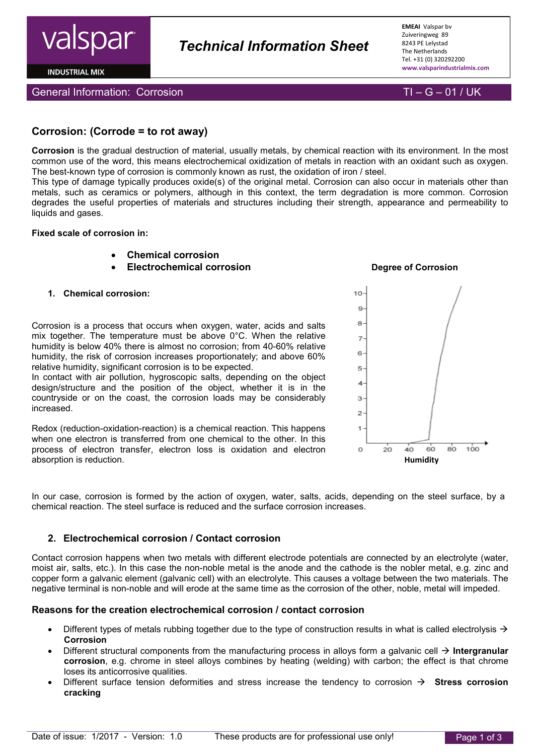

**INDUSTRIAL MIX** 

General Information: Corrosion TI – G – 01 / UK

# **Corrosion: (Corrode = to rot away)**

**Corrosion** is the gradual destruction of material, usually metals, by chemical reaction with its environment. In the most common use of the word, this means electrochemical oxidization of metals in reaction with an oxidant such as oxygen. The best-known type of corrosion is commonly known as rust, the oxidation of iron / steel.

*Technical Information Sheet*

This type of damage typically produces oxide(s) of the original metal. Corrosion can also occur in materials other than metals, such as ceramics or polymers, although in this context, the term degradation is more common. Corrosion degrades the useful properties of materials and structures including their strength, appearance and permeability to liquids and gases.

#### **Fixed scale of corrosion in:**

- **Chemical corrosion**
- **Electrochemical corrosion Degree of Corrosion**
- **1. Chemical corrosion:**

Corrosion is a process that occurs when oxygen, water, acids and salts mix together. The temperature must be above 0°C. When the relative humidity is below 40% there is almost no corrosion; from 40-60% relative humidity, the risk of corrosion increases proportionately; and above 60% relative humidity, significant corrosion is to be expected.

In contact with air pollution, hygroscopic salts, depending on the object design/structure and the position of the object, whether it is in the countryside or on the coast, the corrosion loads may be considerably increased.

Redox (reduction-oxidation-reaction) is a chemical reaction. This happens when one electron is transferred from one chemical to the other. In this process of electron transfer, electron loss is oxidation and electron absorption is reduction. **Humidity** 



In our case, corrosion is formed by the action of oxygen, water, salts, acids, depending on the steel surface, by a chemical reaction. The steel surface is reduced and the surface corrosion increases.

# **2. Electrochemical corrosion / Contact corrosion**

Contact corrosion happens when two metals with different electrode potentials are connected by an electrolyte (water, moist air, salts, etc.). In this case the non-noble metal is the anode and the cathode is the nobler metal, e.g. zinc and copper form a galvanic element (galvanic cell) with an electrolyte. This causes a voltage between the two materials. The negative terminal is non-noble and will erode at the same time as the corrosion of the other, noble, metal will impeded.

# **Reasons for the creation electrochemical corrosion / contact corrosion**

- Different types of metals rubbing together due to the type of construction results in what is called electrolysis  $\rightarrow$ **Corrosion**
- Different structural components from the manufacturing process in alloys form a galvanic cell **Intergranular corrosion**, e.g. chrome in steel alloys combines by heating (welding) with carbon; the effect is that chrome loses its anticorrosive qualities.
- Different surface tension deformities and stress increase the tendency to corrosion **Stress corrosion cracking**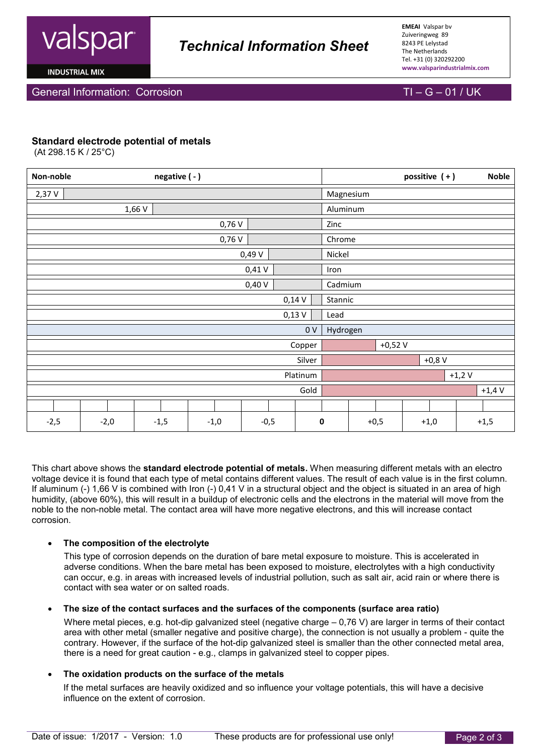

# *Technical Information Sheet*

**EMEAI** Valspar bv Zuiveringweg 89 8243 PE Lelystad The Netherlands Tel. +31 (0) 320292200 **www.valsparindustrialmix.com**

**INDUSTRIAL MIX** 

### General Information: Corrosion TI – G – 01 / UK

### **Standard electrode potential of metals**

(At 298.15 K / 25°C)

| Non-noble      |        | negative (-) |        |        |  |           |         | possitive $(+)$ |  | <b>Noble</b> |  |
|----------------|--------|--------------|--------|--------|--|-----------|---------|-----------------|--|--------------|--|
| 2,37 V         |        |              |        |        |  | Magnesium |         |                 |  |              |  |
| 1,66 V         |        |              |        |        |  | Aluminum  |         |                 |  |              |  |
|                | 0,76V  |              |        |        |  |           | Zinc    |                 |  |              |  |
| 0,76V          |        |              |        |        |  | Chrome    |         |                 |  |              |  |
|                | 0,49V  |              |        |        |  |           | Nickel  |                 |  |              |  |
|                | 0,41V  |              |        |        |  |           | Iron    |                 |  |              |  |
|                | 0,40V  |              |        |        |  |           | Cadmium |                 |  |              |  |
|                | 0,14V  |              |        |        |  |           | Stannic |                 |  |              |  |
| $0,13$ V       |        |              |        |        |  | Lead      |         |                 |  |              |  |
| 0 <sub>V</sub> |        |              |        |        |  | Hydrogen  |         |                 |  |              |  |
| Copper         |        |              |        |        |  | $+0,52V$  |         |                 |  |              |  |
| Silver         |        |              |        |        |  | $+0,8$ V  |         |                 |  |              |  |
| Platinum       |        |              |        |        |  | $+1,2$ V  |         |                 |  |              |  |
| Gold           |        |              |        |        |  | $+1,4$ V  |         |                 |  |              |  |
|                |        |              |        |        |  |           |         |                 |  |              |  |
| $-2,5$         | $-2,0$ | $-1,5$       | $-1,0$ | $-0,5$ |  | 0         | $+0,5$  | $+1,0$          |  | $+1,5$       |  |

This chart above shows the **standard electrode potential of metals.** When measuring different metals with an electro voltage device it is found that each type of metal contains different values. The result of each value is in the first column. If aluminum (-) 1,66 V is combined with Iron (-) 0,41 V in a structural object and the object is situated in an area of high humidity, (above 60%), this will result in a buildup of electronic cells and the electrons in the material will move from the noble to the non-noble metal. The contact area will have more negative electrons, and this will increase contact corrosion.

#### • **The composition of the electrolyte**

This type of corrosion depends on the duration of bare metal exposure to moisture. This is accelerated in adverse conditions. When the bare metal has been exposed to moisture, electrolytes with a high conductivity can occur, e.g. in areas with increased levels of industrial pollution, such as salt air, acid rain or where there is contact with sea water or on salted roads.

#### • **The size of the contact surfaces and the surfaces of the components (surface area ratio)**

Where metal pieces, e.g. hot-dip galvanized steel (negative charge – 0,76 V) are larger in terms of their contact area with other metal (smaller negative and positive charge), the connection is not usually a problem - quite the contrary. However, if the surface of the hot-dip galvanized steel is smaller than the other connected metal area, there is a need for great caution - e.g., clamps in galvanized steel to copper pipes.

#### • **The oxidation products on the surface of the metals**

If the metal surfaces are heavily oxidized and so influence your voltage potentials, this will have a decisive influence on the extent of corrosion.